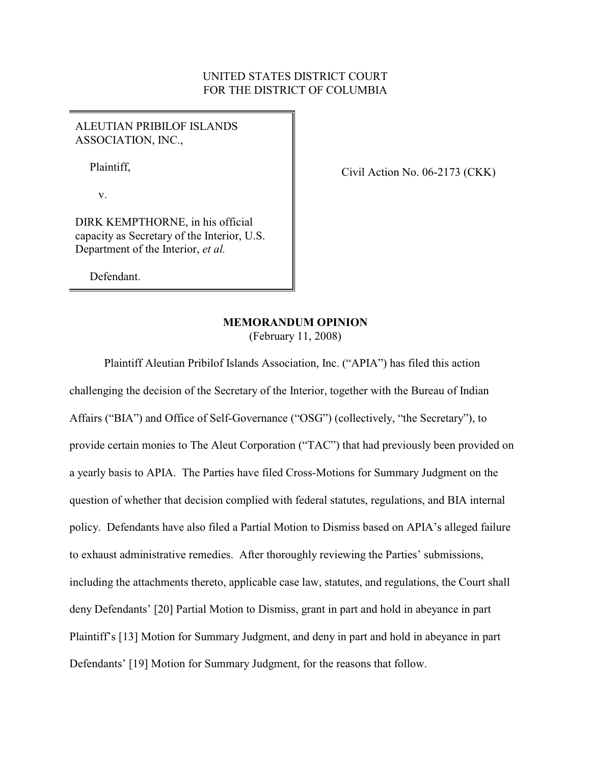# UNITED STATES DISTRICT COURT FOR THE DISTRICT OF COLUMBIA

## ALEUTIAN PRIBILOF ISLANDS ASSOCIATION, INC.,

Plaintiff,

Civil Action No. 06-2173 (CKK)

v.

DIRK KEMPTHORNE, in his official capacity as Secretary of the Interior, U.S. Department of the Interior, *et al.*

Defendant.

# **MEMORANDUM OPINION**

(February 11, 2008)

Plaintiff Aleutian Pribilof Islands Association, Inc. ("APIA") has filed this action challenging the decision of the Secretary of the Interior, together with the Bureau of Indian Affairs ("BIA") and Office of Self-Governance ("OSG") (collectively, "the Secretary"), to provide certain monies to The Aleut Corporation ("TAC") that had previously been provided on a yearly basis to APIA. The Parties have filed Cross-Motions for Summary Judgment on the question of whether that decision complied with federal statutes, regulations, and BIA internal policy. Defendants have also filed a Partial Motion to Dismiss based on APIA's alleged failure to exhaust administrative remedies. After thoroughly reviewing the Parties' submissions, including the attachments thereto, applicable case law, statutes, and regulations, the Court shall deny Defendants' [20] Partial Motion to Dismiss, grant in part and hold in abeyance in part Plaintiff's [13] Motion for Summary Judgment, and deny in part and hold in abeyance in part Defendants' [19] Motion for Summary Judgment, for the reasons that follow.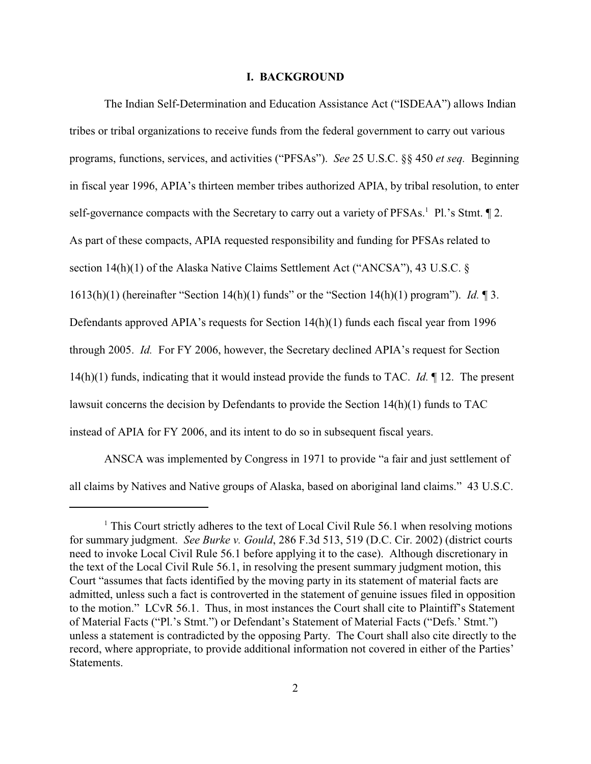#### **I. BACKGROUND**

The Indian Self-Determination and Education Assistance Act ("ISDEAA") allows Indian tribes or tribal organizations to receive funds from the federal government to carry out various programs, functions, services, and activities ("PFSAs"). *See* 25 U.S.C. §§ 450 *et seq.* Beginning in fiscal year 1996, APIA's thirteen member tribes authorized APIA, by tribal resolution, to enter self-governance compacts with the Secretary to carry out a variety of PFSAs.<sup>1</sup> Pl.'s Stmt.  $\P$  2. As part of these compacts, APIA requested responsibility and funding for PFSAs related to section 14(h)(1) of the Alaska Native Claims Settlement Act ("ANCSA"), 43 U.S.C. § 1613(h)(1) (hereinafter "Section 14(h)(1) funds" or the "Section 14(h)(1) program"). *Id.* ¶ 3. Defendants approved APIA's requests for Section 14(h)(1) funds each fiscal year from 1996 through 2005. *Id.* For FY 2006, however, the Secretary declined APIA's request for Section 14(h)(1) funds, indicating that it would instead provide the funds to TAC. *Id.* ¶ 12. The present lawsuit concerns the decision by Defendants to provide the Section 14(h)(1) funds to TAC instead of APIA for FY 2006, and its intent to do so in subsequent fiscal years.

ANSCA was implemented by Congress in 1971 to provide "a fair and just settlement of all claims by Natives and Native groups of Alaska, based on aboriginal land claims." 43 U.S.C.

 $1$  This Court strictly adheres to the text of Local Civil Rule 56.1 when resolving motions for summary judgment. *See Burke v. Gould*, 286 F.3d 513, 519 (D.C. Cir. 2002) (district courts need to invoke Local Civil Rule 56.1 before applying it to the case). Although discretionary in the text of the Local Civil Rule 56.1, in resolving the present summary judgment motion, this Court "assumes that facts identified by the moving party in its statement of material facts are admitted, unless such a fact is controverted in the statement of genuine issues filed in opposition to the motion." LCvR 56.1. Thus, in most instances the Court shall cite to Plaintiff's Statement of Material Facts ("Pl.'s Stmt.") or Defendant's Statement of Material Facts ("Defs.' Stmt.") unless a statement is contradicted by the opposing Party. The Court shall also cite directly to the record, where appropriate, to provide additional information not covered in either of the Parties' **Statements**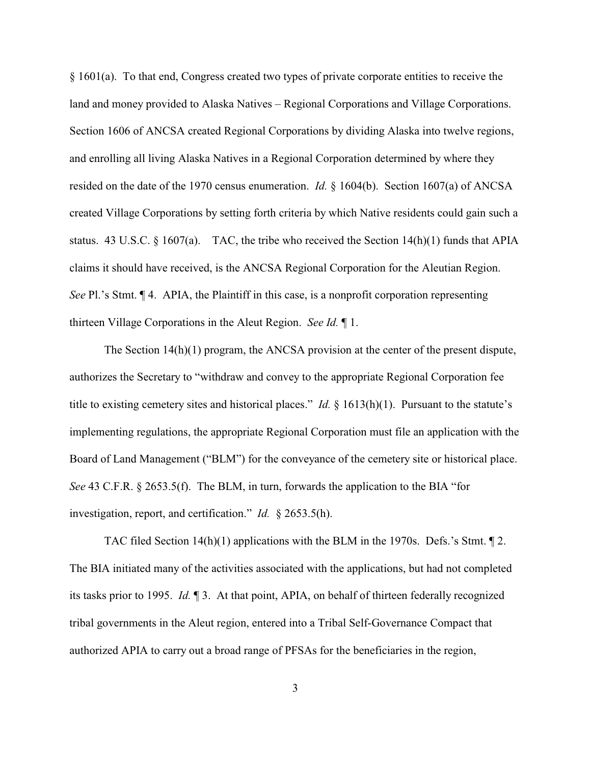§ 1601(a). To that end, Congress created two types of private corporate entities to receive the land and money provided to Alaska Natives – Regional Corporations and Village Corporations. Section 1606 of ANCSA created Regional Corporations by dividing Alaska into twelve regions, and enrolling all living Alaska Natives in a Regional Corporation determined by where they resided on the date of the 1970 census enumeration. *Id.* § 1604(b). Section 1607(a) of ANCSA created Village Corporations by setting forth criteria by which Native residents could gain such a status. 43 U.S.C. § 1607(a). TAC, the tribe who received the Section 14(h)(1) funds that APIA claims it should have received, is the ANCSA Regional Corporation for the Aleutian Region. *See* Pl.'s Stmt. ¶ 4. APIA, the Plaintiff in this case, is a nonprofit corporation representing thirteen Village Corporations in the Aleut Region. *See Id.* ¶ 1.

The Section 14(h)(1) program, the ANCSA provision at the center of the present dispute, authorizes the Secretary to "withdraw and convey to the appropriate Regional Corporation fee title to existing cemetery sites and historical places." *Id.*  $\S$  1613(h)(1). Pursuant to the statute's implementing regulations, the appropriate Regional Corporation must file an application with the Board of Land Management ("BLM") for the conveyance of the cemetery site or historical place. *See* 43 C.F.R. § 2653.5(f). The BLM, in turn, forwards the application to the BIA "for investigation, report, and certification." *Id.* § 2653.5(h).

TAC filed Section 14(h)(1) applications with the BLM in the 1970s. Defs.'s Stmt. ¶ 2. The BIA initiated many of the activities associated with the applications, but had not completed its tasks prior to 1995. *Id.* ¶ 3. At that point, APIA, on behalf of thirteen federally recognized tribal governments in the Aleut region, entered into a Tribal Self-Governance Compact that authorized APIA to carry out a broad range of PFSAs for the beneficiaries in the region,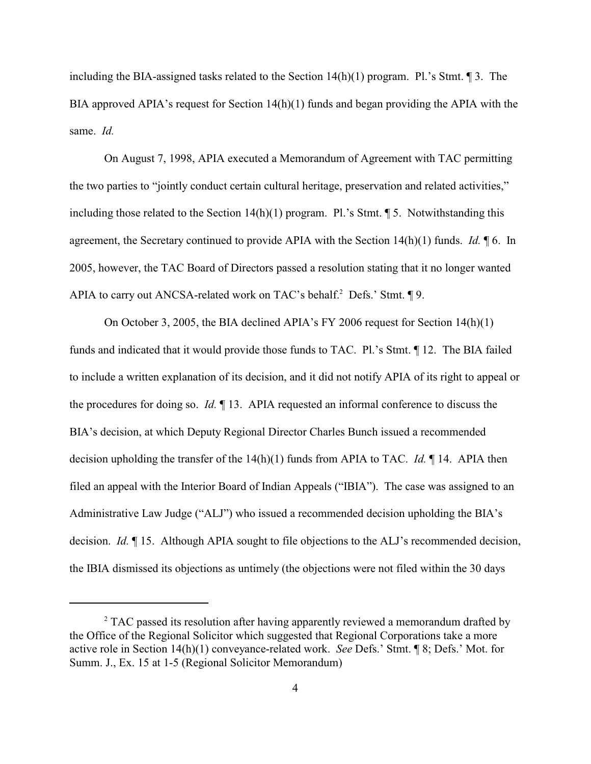including the BIA-assigned tasks related to the Section 14(h)(1) program. Pl.'s Stmt. ¶ 3. The BIA approved APIA's request for Section 14(h)(1) funds and began providing the APIA with the same. *Id.*

On August 7, 1998, APIA executed a Memorandum of Agreement with TAC permitting the two parties to "jointly conduct certain cultural heritage, preservation and related activities," including those related to the Section  $14(h)(1)$  program. Pl.'s Stmt.  $\P$  5. Notwithstanding this agreement, the Secretary continued to provide APIA with the Section 14(h)(1) funds. *Id.* ¶ 6. In 2005, however, the TAC Board of Directors passed a resolution stating that it no longer wanted APIA to carry out ANCSA-related work on TAC's behalf.<sup>2</sup> Defs.' Stmt.  $\P$ 9.

On October 3, 2005, the BIA declined APIA's FY 2006 request for Section 14(h)(1) funds and indicated that it would provide those funds to TAC. Pl.'s Stmt. ¶ 12. The BIA failed to include a written explanation of its decision, and it did not notify APIA of its right to appeal or the procedures for doing so. *Id.* ¶ 13. APIA requested an informal conference to discuss the BIA's decision, at which Deputy Regional Director Charles Bunch issued a recommended decision upholding the transfer of the 14(h)(1) funds from APIA to TAC. *Id.* ¶ 14. APIA then filed an appeal with the Interior Board of Indian Appeals ("IBIA"). The case was assigned to an Administrative Law Judge ("ALJ") who issued a recommended decision upholding the BIA's decision. *Id.* ¶ 15. Although APIA sought to file objections to the ALJ's recommended decision, the IBIA dismissed its objections as untimely (the objections were not filed within the 30 days

 $\degree$  TAC passed its resolution after having apparently reviewed a memorandum drafted by the Office of the Regional Solicitor which suggested that Regional Corporations take a more active role in Section 14(h)(1) conveyance-related work. *See* Defs.' Stmt. ¶ 8; Defs.' Mot. for Summ. J., Ex. 15 at 1-5 (Regional Solicitor Memorandum)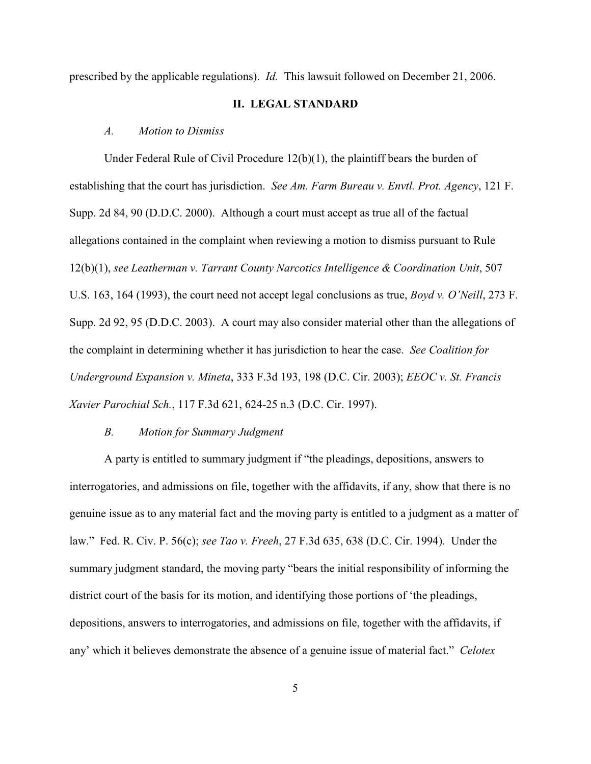prescribed by the applicable regulations). *Id.* This lawsuit followed on December 21, 2006.

#### **II. LEGAL STANDARD**

#### *A. Motion to Dismiss*

Under Federal Rule of Civil Procedure 12(b)(1), the plaintiff bears the burden of establishing that the court has jurisdiction. *See Am. Farm Bureau v. Envtl. Prot. Agency*, 121 F. Supp. 2d 84, 90 (D.D.C. 2000). Although a court must accept as true all of the factual allegations contained in the complaint when reviewing a motion to dismiss pursuant to Rule 12(b)(1), *see Leatherman v. Tarrant County Narcotics Intelligence & Coordination Unit*, 507 U.S. 163, 164 (1993), the court need not accept legal conclusions as true, *Boyd v. O'Neill*, 273 F. Supp. 2d 92, 95 (D.D.C. 2003). A court may also consider material other than the allegations of the complaint in determining whether it has jurisdiction to hear the case. *See Coalition for Underground Expansion v. Mineta*, 333 F.3d 193, 198 (D.C. Cir. 2003); *EEOC v. St. Francis Xavier Parochial Sch.*, 117 F.3d 621, 624-25 n.3 (D.C. Cir. 1997).

### *B. Motion for Summary Judgment*

A party is entitled to summary judgment if "the pleadings, depositions, answers to interrogatories, and admissions on file, together with the affidavits, if any, show that there is no genuine issue as to any material fact and the moving party is entitled to a judgment as a matter of law." Fed. R. Civ. P. 56(c); *see Tao v. Freeh*, 27 F.3d 635, 638 (D.C. Cir. 1994). Under the summary judgment standard, the moving party "bears the initial responsibility of informing the district court of the basis for its motion, and identifying those portions of 'the pleadings, depositions, answers to interrogatories, and admissions on file, together with the affidavits, if any' which it believes demonstrate the absence of a genuine issue of material fact." *Celotex*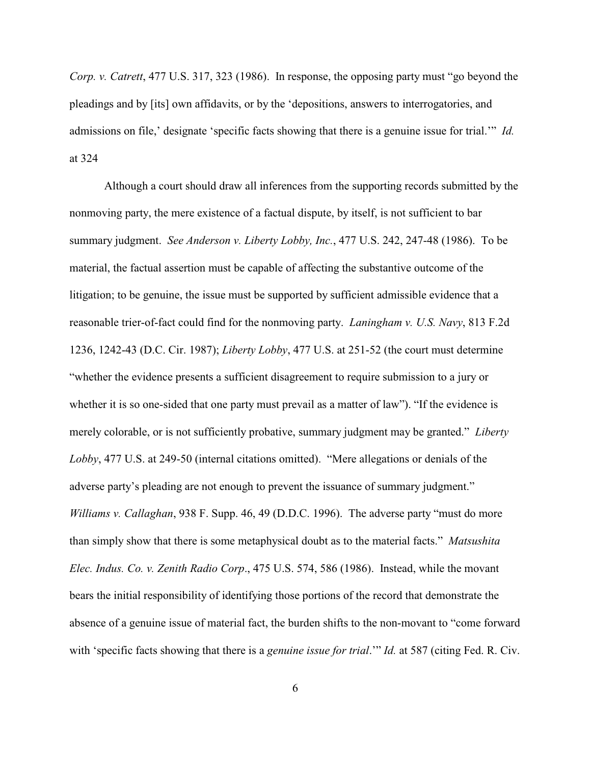*Corp. v. Catrett*, 477 U.S. 317, 323 (1986). In response, the opposing party must "go beyond the pleadings and by [its] own affidavits, or by the 'depositions, answers to interrogatories, and admissions on file,' designate 'specific facts showing that there is a genuine issue for trial.'" *Id.* at 324

Although a court should draw all inferences from the supporting records submitted by the nonmoving party, the mere existence of a factual dispute, by itself, is not sufficient to bar summary judgment. *See Anderson v. Liberty Lobby, Inc.*, 477 U.S. 242, 247-48 (1986). To be material, the factual assertion must be capable of affecting the substantive outcome of the litigation; to be genuine, the issue must be supported by sufficient admissible evidence that a reasonable trier-of-fact could find for the nonmoving party. *Laningham v. U.S. Navy*, 813 F.2d 1236, 1242-43 (D.C. Cir. 1987); *Liberty Lobby*, 477 U.S. at 251-52 (the court must determine "whether the evidence presents a sufficient disagreement to require submission to a jury or whether it is so one-sided that one party must prevail as a matter of law"). "If the evidence is merely colorable, or is not sufficiently probative, summary judgment may be granted." *Liberty Lobby*, 477 U.S. at 249-50 (internal citations omitted). "Mere allegations or denials of the adverse party's pleading are not enough to prevent the issuance of summary judgment." *Williams v. Callaghan*, 938 F. Supp. 46, 49 (D.D.C. 1996). The adverse party "must do more than simply show that there is some metaphysical doubt as to the material facts." *Matsushita Elec. Indus. Co. v. Zenith Radio Corp*., 475 U.S. 574, 586 (1986). Instead, while the movant bears the initial responsibility of identifying those portions of the record that demonstrate the absence of a genuine issue of material fact, the burden shifts to the non-movant to "come forward with 'specific facts showing that there is a *genuine issue for trial.*'" *Id.* at 587 (citing Fed. R. Civ.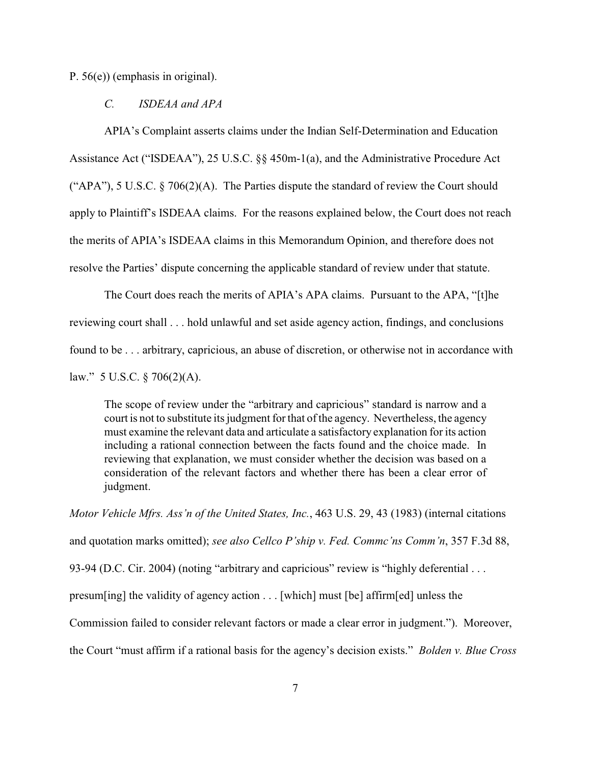P. 56(e)) (emphasis in original).

#### *C. ISDEAA and APA*

APIA's Complaint asserts claims under the Indian Self-Determination and Education Assistance Act ("ISDEAA"), 25 U.S.C. §§ 450m-1(a), and the Administrative Procedure Act ("APA"), 5 U.S.C.  $\S$  706(2)(A). The Parties dispute the standard of review the Court should apply to Plaintiff's ISDEAA claims. For the reasons explained below, the Court does not reach the merits of APIA's ISDEAA claims in this Memorandum Opinion, and therefore does not resolve the Parties' dispute concerning the applicable standard of review under that statute.

The Court does reach the merits of APIA's APA claims. Pursuant to the APA, "[t]he reviewing court shall . . . hold unlawful and set aside agency action, findings, and conclusions found to be . . . arbitrary, capricious, an abuse of discretion, or otherwise not in accordance with law." 5 U.S.C.  $\frac{$706(2)(A)]}{2}$ .

The scope of review under the "arbitrary and capricious" standard is narrow and a court is not to substitute its judgment for that of the agency. Nevertheless, the agency must examine the relevant data and articulate a satisfactory explanation for its action including a rational connection between the facts found and the choice made. In reviewing that explanation, we must consider whether the decision was based on a consideration of the relevant factors and whether there has been a clear error of judgment.

*Motor Vehicle Mfrs. Ass'n of the United States, Inc.*, 463 U.S. 29, 43 (1983) (internal citations and quotation marks omitted); *see also Cellco P'ship v. Fed. Commc'ns Comm'n*, 357 F.3d 88, 93-94 (D.C. Cir. 2004) (noting "arbitrary and capricious" review is "highly deferential . . . presum[ing] the validity of agency action . . . [which] must [be] affirm[ed] unless the Commission failed to consider relevant factors or made a clear error in judgment."). Moreover, the Court "must affirm if a rational basis for the agency's decision exists." *Bolden v. Blue Cross*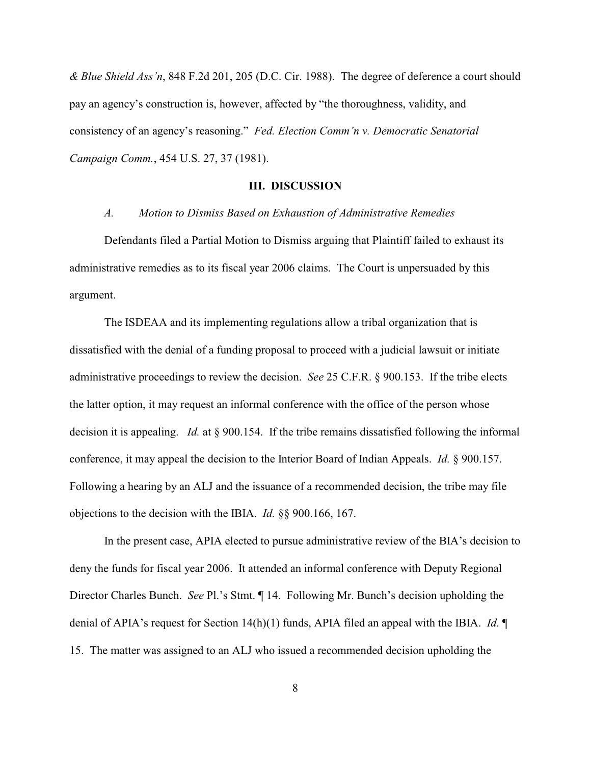*& Blue Shield Ass'n*, 848 F.2d 201, 205 (D.C. Cir. 1988). The degree of deference a court should pay an agency's construction is, however, affected by "the thoroughness, validity, and consistency of an agency's reasoning." *Fed. Election Comm'n v. Democratic Senatorial Campaign Comm.*, 454 U.S. 27, 37 (1981).

#### **III. DISCUSSION**

*A. Motion to Dismiss Based on Exhaustion of Administrative Remedies*

Defendants filed a Partial Motion to Dismiss arguing that Plaintiff failed to exhaust its administrative remedies as to its fiscal year 2006 claims. The Court is unpersuaded by this argument.

The ISDEAA and its implementing regulations allow a tribal organization that is dissatisfied with the denial of a funding proposal to proceed with a judicial lawsuit or initiate administrative proceedings to review the decision. *See* 25 C.F.R. § 900.153. If the tribe elects the latter option, it may request an informal conference with the office of the person whose decision it is appealing. *Id.* at § 900.154. If the tribe remains dissatisfied following the informal conference, it may appeal the decision to the Interior Board of Indian Appeals. *Id.* § 900.157. Following a hearing by an ALJ and the issuance of a recommended decision, the tribe may file objections to the decision with the IBIA. *Id.* §§ 900.166, 167.

In the present case, APIA elected to pursue administrative review of the BIA's decision to deny the funds for fiscal year 2006. It attended an informal conference with Deputy Regional Director Charles Bunch. *See* Pl.'s Stmt. ¶ 14. Following Mr. Bunch's decision upholding the denial of APIA's request for Section 14(h)(1) funds, APIA filed an appeal with the IBIA. *Id.* ¶ 15. The matter was assigned to an ALJ who issued a recommended decision upholding the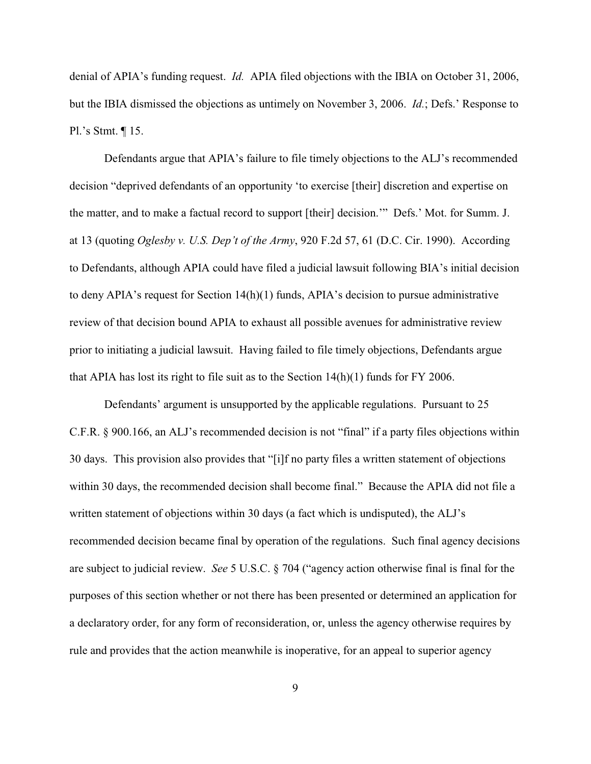denial of APIA's funding request. *Id.* APIA filed objections with the IBIA on October 31, 2006, but the IBIA dismissed the objections as untimely on November 3, 2006. *Id.*; Defs.' Response to Pl.'s Stmt. ¶ 15.

Defendants argue that APIA's failure to file timely objections to the ALJ's recommended decision "deprived defendants of an opportunity 'to exercise [their] discretion and expertise on the matter, and to make a factual record to support [their] decision.'" Defs.' Mot. for Summ. J. at 13 (quoting *Oglesby v. U.S. Dep't of the Army*, 920 F.2d 57, 61 (D.C. Cir. 1990). According to Defendants, although APIA could have filed a judicial lawsuit following BIA's initial decision to deny APIA's request for Section  $14(h)(1)$  funds, APIA's decision to pursue administrative review of that decision bound APIA to exhaust all possible avenues for administrative review prior to initiating a judicial lawsuit. Having failed to file timely objections, Defendants argue that APIA has lost its right to file suit as to the Section 14(h)(1) funds for FY 2006.

Defendants' argument is unsupported by the applicable regulations. Pursuant to 25 C.F.R. § 900.166, an ALJ's recommended decision is not "final" if a party files objections within 30 days. This provision also provides that "[i]f no party files a written statement of objections within 30 days, the recommended decision shall become final." Because the APIA did not file a written statement of objections within 30 days (a fact which is undisputed), the ALJ's recommended decision became final by operation of the regulations. Such final agency decisions are subject to judicial review. *See* 5 U.S.C. § 704 ("agency action otherwise final is final for the purposes of this section whether or not there has been presented or determined an application for a declaratory order, for any form of reconsideration, or, unless the agency otherwise requires by rule and provides that the action meanwhile is inoperative, for an appeal to superior agency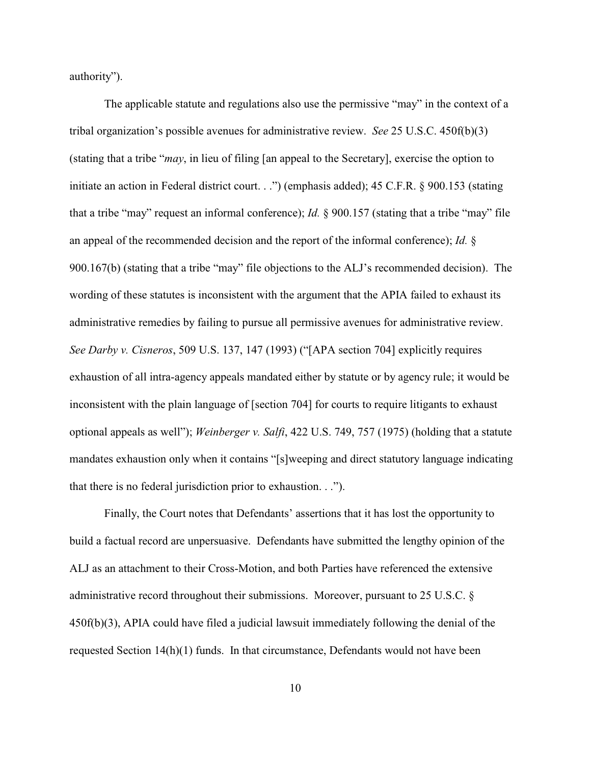authority").

The applicable statute and regulations also use the permissive "may" in the context of a tribal organization's possible avenues for administrative review. *See* 25 U.S.C. 450f(b)(3) (stating that a tribe "*may*, in lieu of filing [an appeal to the Secretary], exercise the option to initiate an action in Federal district court. . .") (emphasis added); 45 C.F.R. § 900.153 (stating that a tribe "may" request an informal conference); *Id.* § 900.157 (stating that a tribe "may" file an appeal of the recommended decision and the report of the informal conference); *Id.* § 900.167(b) (stating that a tribe "may" file objections to the ALJ's recommended decision). The wording of these statutes is inconsistent with the argument that the APIA failed to exhaust its administrative remedies by failing to pursue all permissive avenues for administrative review. *See Darby v. Cisneros*, 509 U.S. 137, 147 (1993) ("[APA section 704] explicitly requires exhaustion of all intra-agency appeals mandated either by statute or by agency rule; it would be inconsistent with the plain language of [section 704] for courts to require litigants to exhaust optional appeals as well"); *Weinberger v. Salfi*, 422 U.S. 749, 757 (1975) (holding that a statute mandates exhaustion only when it contains "[s]weeping and direct statutory language indicating that there is no federal jurisdiction prior to exhaustion. . .").

Finally, the Court notes that Defendants' assertions that it has lost the opportunity to build a factual record are unpersuasive. Defendants have submitted the lengthy opinion of the ALJ as an attachment to their Cross-Motion, and both Parties have referenced the extensive administrative record throughout their submissions. Moreover, pursuant to 25 U.S.C. § 450f(b)(3), APIA could have filed a judicial lawsuit immediately following the denial of the requested Section 14(h)(1) funds. In that circumstance, Defendants would not have been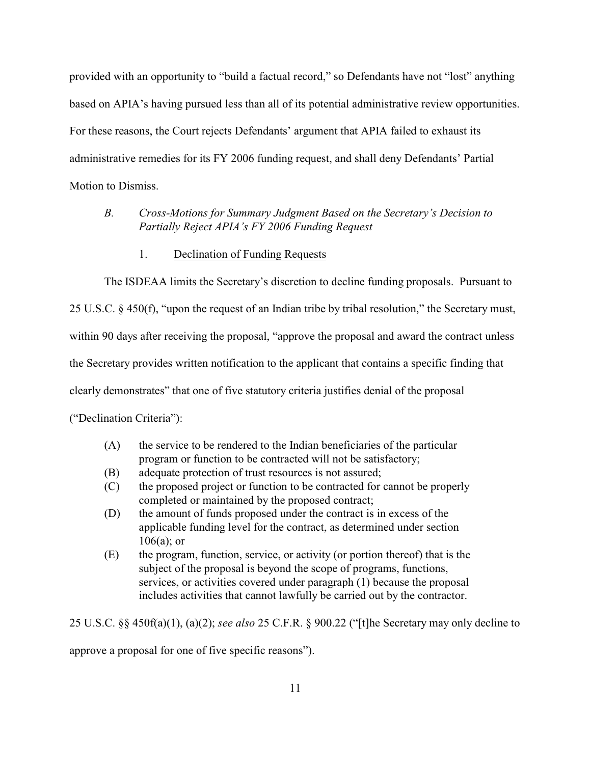provided with an opportunity to "build a factual record," so Defendants have not "lost" anything based on APIA's having pursued less than all of its potential administrative review opportunities. For these reasons, the Court rejects Defendants' argument that APIA failed to exhaust its administrative remedies for its FY 2006 funding request, and shall deny Defendants' Partial Motion to Dismiss.

# *B. Cross-Motions for Summary Judgment Based on the Secretary's Decision to Partially Reject APIA's FY 2006 Funding Request*

1. Declination of Funding Requests

The ISDEAA limits the Secretary's discretion to decline funding proposals. Pursuant to

25 U.S.C. § 450(f), "upon the request of an Indian tribe by tribal resolution," the Secretary must,

within 90 days after receiving the proposal, "approve the proposal and award the contract unless

the Secretary provides written notification to the applicant that contains a specific finding that

clearly demonstrates" that one of five statutory criteria justifies denial of the proposal

("Declination Criteria"):

- (A) the service to be rendered to the Indian beneficiaries of the particular program or function to be contracted will not be satisfactory;
- (B) adequate protection of trust resources is not assured;
- (C) the proposed project or function to be contracted for cannot be properly completed or maintained by the proposed contract;
- (D) the amount of funds proposed under the contract is in excess of the applicable funding level for the contract, as determined under section  $106(a)$ ; or
- (E) the program, function, service, or activity (or portion thereof) that is the subject of the proposal is beyond the scope of programs, functions, services, or activities covered under paragraph (1) because the proposal includes activities that cannot lawfully be carried out by the contractor.

25 U.S.C. §§ 450f(a)(1), (a)(2); *see also* 25 C.F.R. § 900.22 ("[t]he Secretary may only decline to

approve a proposal for one of five specific reasons").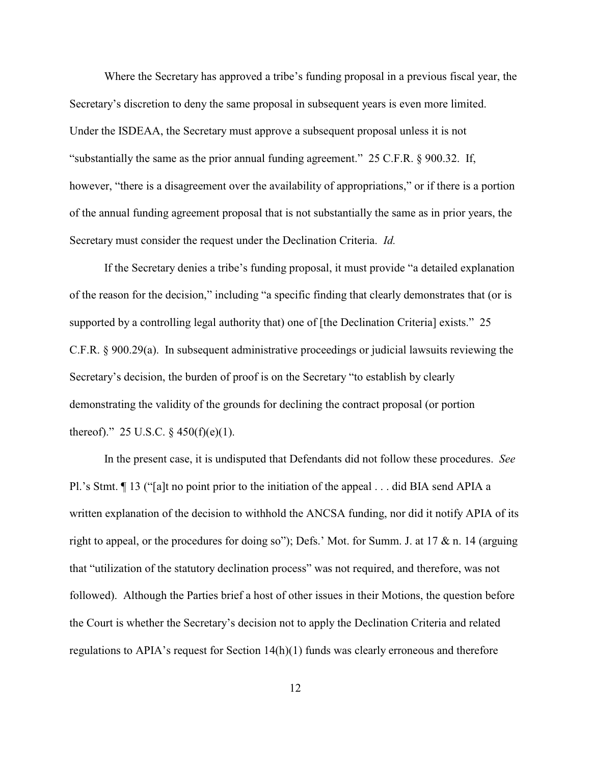Where the Secretary has approved a tribe's funding proposal in a previous fiscal year, the Secretary's discretion to deny the same proposal in subsequent years is even more limited. Under the ISDEAA, the Secretary must approve a subsequent proposal unless it is not "substantially the same as the prior annual funding agreement." 25 C.F.R. § 900.32. If, however, "there is a disagreement over the availability of appropriations," or if there is a portion of the annual funding agreement proposal that is not substantially the same as in prior years, the Secretary must consider the request under the Declination Criteria. *Id.*

If the Secretary denies a tribe's funding proposal, it must provide "a detailed explanation of the reason for the decision," including "a specific finding that clearly demonstrates that (or is supported by a controlling legal authority that) one of [the Declination Criteria] exists." 25 C.F.R. § 900.29(a). In subsequent administrative proceedings or judicial lawsuits reviewing the Secretary's decision, the burden of proof is on the Secretary "to establish by clearly demonstrating the validity of the grounds for declining the contract proposal (or portion thereof)." 25 U.S.C.  $\frac{6}{9}$  450(f)(e)(1).

In the present case, it is undisputed that Defendants did not follow these procedures. *See* Pl.'s Stmt. ¶ 13 ("[a]t no point prior to the initiation of the appeal . . . did BIA send APIA a written explanation of the decision to withhold the ANCSA funding, nor did it notify APIA of its right to appeal, or the procedures for doing so"); Defs.' Mot. for Summ. J. at 17 & n. 14 (arguing that "utilization of the statutory declination process" was not required, and therefore, was not followed). Although the Parties brief a host of other issues in their Motions, the question before the Court is whether the Secretary's decision not to apply the Declination Criteria and related regulations to APIA's request for Section 14(h)(1) funds was clearly erroneous and therefore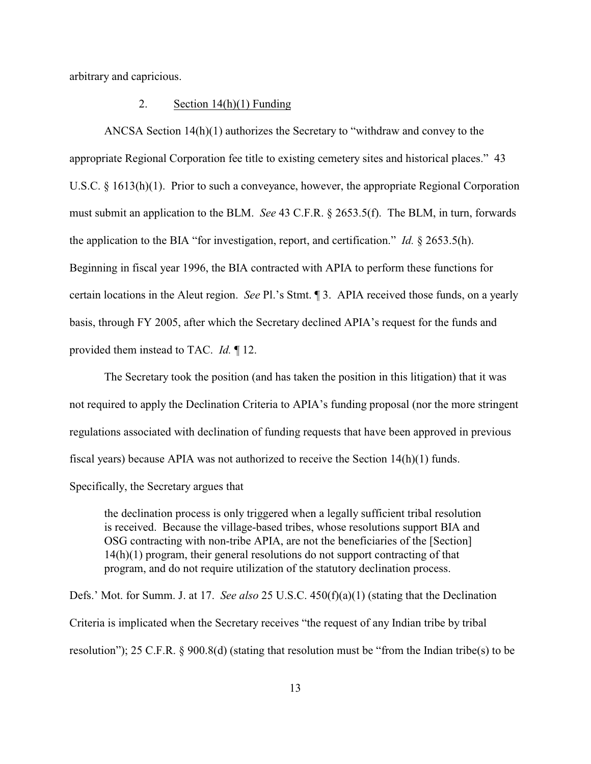arbitrary and capricious.

### 2. Section 14(h)(1) Funding

ANCSA Section 14(h)(1) authorizes the Secretary to "withdraw and convey to the appropriate Regional Corporation fee title to existing cemetery sites and historical places." 43 U.S.C. § 1613(h)(1). Prior to such a conveyance, however, the appropriate Regional Corporation must submit an application to the BLM. *See* 43 C.F.R. § 2653.5(f). The BLM, in turn, forwards the application to the BIA "for investigation, report, and certification." *Id.* § 2653.5(h). Beginning in fiscal year 1996, the BIA contracted with APIA to perform these functions for certain locations in the Aleut region. *See* Pl.'s Stmt. ¶ 3. APIA received those funds, on a yearly basis, through FY 2005, after which the Secretary declined APIA's request for the funds and provided them instead to TAC. *Id.* ¶ 12.

The Secretary took the position (and has taken the position in this litigation) that it was not required to apply the Declination Criteria to APIA's funding proposal (nor the more stringent regulations associated with declination of funding requests that have been approved in previous fiscal years) because APIA was not authorized to receive the Section 14(h)(1) funds.

Specifically, the Secretary argues that

the declination process is only triggered when a legally sufficient tribal resolution is received. Because the village-based tribes, whose resolutions support BIA and OSG contracting with non-tribe APIA, are not the beneficiaries of the [Section] 14(h)(1) program, their general resolutions do not support contracting of that program, and do not require utilization of the statutory declination process.

Defs.' Mot. for Summ. J. at 17. *See also* 25 U.S.C. 450(f)(a)(1) (stating that the Declination Criteria is implicated when the Secretary receives "the request of any Indian tribe by tribal resolution"); 25 C.F.R. § 900.8(d) (stating that resolution must be "from the Indian tribe(s) to be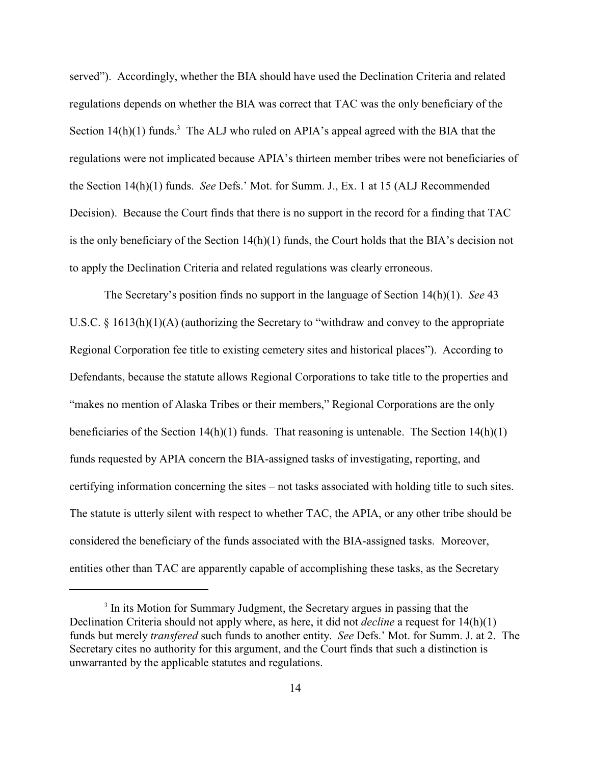served"). Accordingly, whether the BIA should have used the Declination Criteria and related regulations depends on whether the BIA was correct that TAC was the only beneficiary of the Section  $14(h)(1)$  funds.<sup>3</sup> The ALJ who ruled on APIA's appeal agreed with the BIA that the regulations were not implicated because APIA's thirteen member tribes were not beneficiaries of the Section 14(h)(1) funds. *See* Defs.' Mot. for Summ. J., Ex. 1 at 15 (ALJ Recommended Decision). Because the Court finds that there is no support in the record for a finding that TAC is the only beneficiary of the Section  $14(h)(1)$  funds, the Court holds that the BIA's decision not to apply the Declination Criteria and related regulations was clearly erroneous.

The Secretary's position finds no support in the language of Section 14(h)(1). *See* 43 U.S.C. § 1613(h)(1)(A) (authorizing the Secretary to "withdraw and convey to the appropriate Regional Corporation fee title to existing cemetery sites and historical places"). According to Defendants, because the statute allows Regional Corporations to take title to the properties and "makes no mention of Alaska Tribes or their members," Regional Corporations are the only beneficiaries of the Section  $14(h)(1)$  funds. That reasoning is untenable. The Section  $14(h)(1)$ funds requested by APIA concern the BIA-assigned tasks of investigating, reporting, and certifying information concerning the sites – not tasks associated with holding title to such sites. The statute is utterly silent with respect to whether TAC, the APIA, or any other tribe should be considered the beneficiary of the funds associated with the BIA-assigned tasks. Moreover, entities other than TAC are apparently capable of accomplishing these tasks, as the Secretary

<sup>&</sup>lt;sup>3</sup> In its Motion for Summary Judgment, the Secretary argues in passing that the Declination Criteria should not apply where, as here, it did not *decline* a request for 14(h)(1) funds but merely *transfered* such funds to another entity. *See* Defs.' Mot. for Summ. J. at 2. The Secretary cites no authority for this argument, and the Court finds that such a distinction is unwarranted by the applicable statutes and regulations.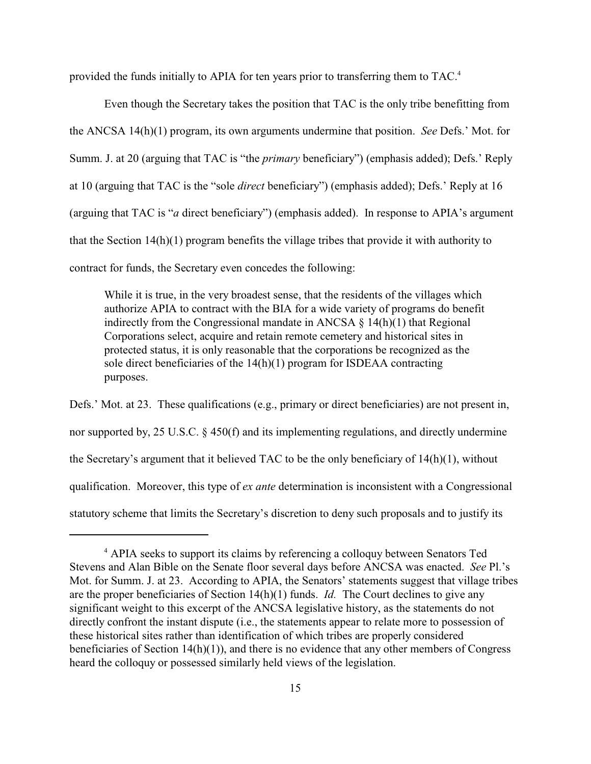provided the funds initially to APIA for ten years prior to transferring them to TAC.<sup>4</sup>

Even though the Secretary takes the position that TAC is the only tribe benefitting from the ANCSA 14(h)(1) program, its own arguments undermine that position. *See* Defs.' Mot. for Summ. J. at 20 (arguing that TAC is "the *primary* beneficiary") (emphasis added); Defs.' Reply at 10 (arguing that TAC is the "sole *direct* beneficiary") (emphasis added); Defs.' Reply at 16 (arguing that TAC is "*a* direct beneficiary") (emphasis added). In response to APIA's argument that the Section 14(h)(1) program benefits the village tribes that provide it with authority to contract for funds, the Secretary even concedes the following:

While it is true, in the very broadest sense, that the residents of the villages which authorize APIA to contract with the BIA for a wide variety of programs do benefit indirectly from the Congressional mandate in ANCSA  $\S$  14(h)(1) that Regional Corporations select, acquire and retain remote cemetery and historical sites in protected status, it is only reasonable that the corporations be recognized as the sole direct beneficiaries of the 14(h)(1) program for ISDEAA contracting purposes.

Defs.' Mot. at 23. These qualifications (e.g., primary or direct beneficiaries) are not present in, nor supported by, 25 U.S.C. § 450(f) and its implementing regulations, and directly undermine the Secretary's argument that it believed TAC to be the only beneficiary of 14(h)(1), without qualification. Moreover, this type of *ex ante* determination is inconsistent with a Congressional statutory scheme that limits the Secretary's discretion to deny such proposals and to justify its

<sup>&</sup>lt;sup>4</sup> APIA seeks to support its claims by referencing a colloquy between Senators Ted Stevens and Alan Bible on the Senate floor several days before ANCSA was enacted. *See* Pl.'s Mot. for Summ. J. at 23. According to APIA, the Senators' statements suggest that village tribes are the proper beneficiaries of Section 14(h)(1) funds. *Id.* The Court declines to give any significant weight to this excerpt of the ANCSA legislative history, as the statements do not directly confront the instant dispute (i.e., the statements appear to relate more to possession of these historical sites rather than identification of which tribes are properly considered beneficiaries of Section 14(h)(1)), and there is no evidence that any other members of Congress heard the colloquy or possessed similarly held views of the legislation.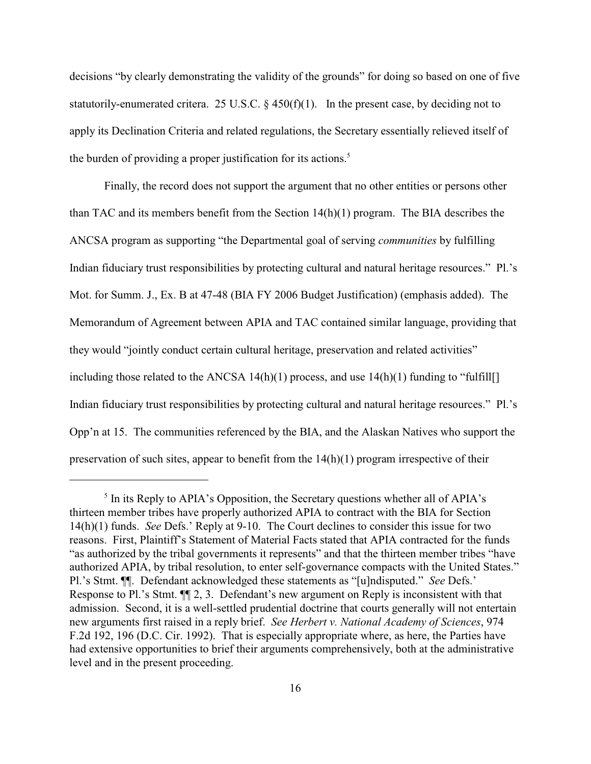decisions "by clearly demonstrating the validity of the grounds" for doing so based on one of five statutorily-enumerated critera. 25 U.S.C. § 450(f)(1). In the present case, by deciding not to apply its Declination Criteria and related regulations, the Secretary essentially relieved itself of the burden of providing a proper justification for its actions. 5

Finally, the record does not support the argument that no other entities or persons other than TAC and its members benefit from the Section  $14(h)(1)$  program. The BIA describes the ANCSA program as supporting "the Departmental goal of serving *communities* by fulfilling Indian fiduciary trust responsibilities by protecting cultural and natural heritage resources." Pl.'s Mot. for Summ. J., Ex. B at 47-48 (BIA FY 2006 Budget Justification) (emphasis added). The Memorandum of Agreement between APIA and TAC contained similar language, providing that they would "jointly conduct certain cultural heritage, preservation and related activities" including those related to the ANCSA  $14(h)(1)$  process, and use  $14(h)(1)$  funding to "fulfill[] Indian fiduciary trust responsibilities by protecting cultural and natural heritage resources." Pl.'s Opp'n at 15. The communities referenced by the BIA, and the Alaskan Natives who support the preservation of such sites, appear to benefit from the 14(h)(1) program irrespective of their

 $<sup>5</sup>$  In its Reply to APIA's Opposition, the Secretary questions whether all of APIA's</sup> thirteen member tribes have properly authorized APIA to contract with the BIA for Section 14(h)(1) funds. *See* Defs.' Reply at 9-10. The Court declines to consider this issue for two reasons. First, Plaintiff's Statement of Material Facts stated that APIA contracted for the funds "as authorized by the tribal governments it represents" and that the thirteen member tribes "have authorized APIA, by tribal resolution, to enter self-governance compacts with the United States." Pl.'s Stmt. ¶¶. Defendant acknowledged these statements as "[u]ndisputed." *See* Defs.' Response to Pl.'s Stmt. ¶¶ 2, 3. Defendant's new argument on Reply is inconsistent with that admission. Second, it is a well-settled prudential doctrine that courts generally will not entertain new arguments first raised in a reply brief. *See Herbert v. National Academy of Sciences*, 974 F.2d 192, 196 (D.C. Cir. 1992). That is especially appropriate where, as here, the Parties have had extensive opportunities to brief their arguments comprehensively, both at the administrative level and in the present proceeding.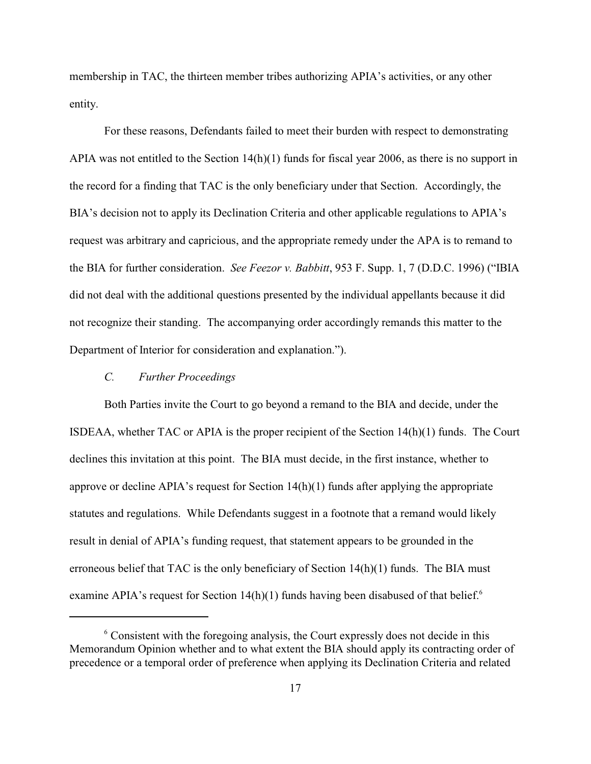membership in TAC, the thirteen member tribes authorizing APIA's activities, or any other entity.

For these reasons, Defendants failed to meet their burden with respect to demonstrating APIA was not entitled to the Section 14(h)(1) funds for fiscal year 2006, as there is no support in the record for a finding that TAC is the only beneficiary under that Section. Accordingly, the BIA's decision not to apply its Declination Criteria and other applicable regulations to APIA's request was arbitrary and capricious, and the appropriate remedy under the APA is to remand to the BIA for further consideration. *See Feezor v. Babbitt*, 953 F. Supp. 1, 7 (D.D.C. 1996) ("IBIA did not deal with the additional questions presented by the individual appellants because it did not recognize their standing. The accompanying order accordingly remands this matter to the Department of Interior for consideration and explanation.").

## *C. Further Proceedings*

Both Parties invite the Court to go beyond a remand to the BIA and decide, under the ISDEAA, whether TAC or APIA is the proper recipient of the Section  $14(h)(1)$  funds. The Court declines this invitation at this point. The BIA must decide, in the first instance, whether to approve or decline APIA's request for Section  $14(h)(1)$  funds after applying the appropriate statutes and regulations. While Defendants suggest in a footnote that a remand would likely result in denial of APIA's funding request, that statement appears to be grounded in the erroneous belief that TAC is the only beneficiary of Section  $14(h)(1)$  funds. The BIA must examine APIA's request for Section  $14(h)(1)$  funds having been disabused of that belief.<sup>6</sup>

 $6$  Consistent with the foregoing analysis, the Court expressly does not decide in this Memorandum Opinion whether and to what extent the BIA should apply its contracting order of precedence or a temporal order of preference when applying its Declination Criteria and related